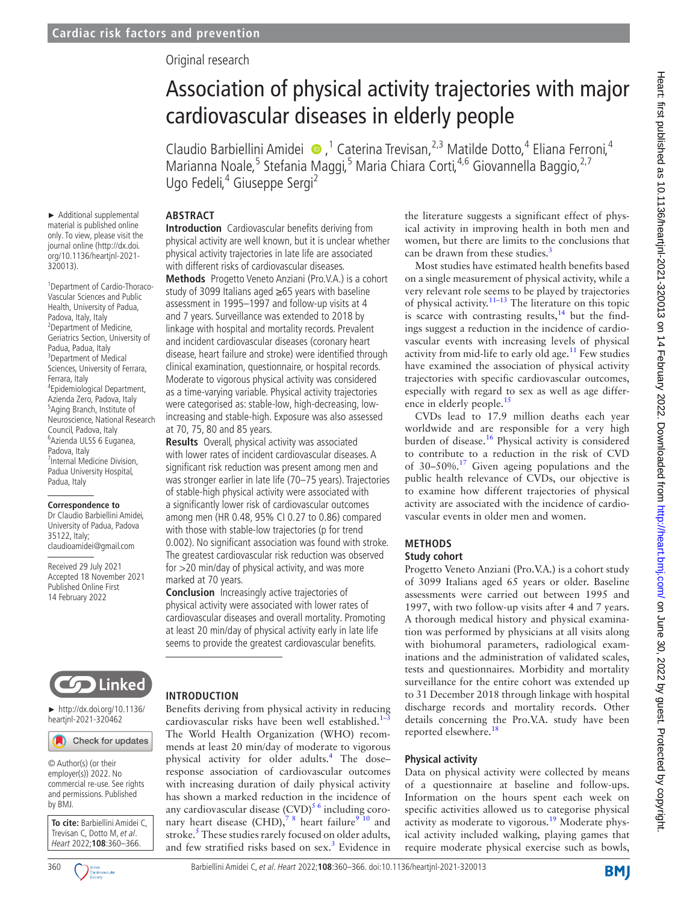## Original research

# Association of physical activity trajectories with major cardiovascular diseases in elderly people

ClaudioBarbiellini Amidei  $\bullet$ ,<sup>1</sup> Caterina Trevisan,<sup>2,3</sup> Matilde Dotto,<sup>4</sup> Eliana Ferroni,<sup>4</sup> Marianna Noale,<sup>5</sup> Stefania Maggi,<sup>5</sup> Maria Chiara Corti,<sup>4,6</sup> Giovannella Baggio,<sup>2,7</sup> Ugo Fedeli,<sup>4</sup> Giuseppe Sergi<sup>2</sup>

# **ABSTRACT**

► Additional supplemental material is published online only. To view, please visit the journal online ([http://dx.doi.](http://dx.doi.org/10.1136/heartjnl-2021-320013) [org/10.1136/heartjnl-2021-](http://dx.doi.org/10.1136/heartjnl-2021-320013)

1 Department of Cardio-Thoraco-Vascular Sciences and Public Health, University of Padua, Padova, Italy, Italy 2 Department of Medicine, Geriatrics Section, University of

4 Epidemiological Department, Azienda Zero, Padova, Italy 5 Aging Branch, Institute of Neuroscience, National Research Council, Padova, Italy 6 Azienda ULSS 6 Euganea,

7 Internal Medicine Division, Padua University Hospital,

**Correspondence to** Dr Claudio Barbiellini Amidei, University of Padua, Padova

claudioamidei@gmail.com Received 29 July 2021 Accepted 18 November 2021 Published Online First 14 February 2022

[320013](http://dx.doi.org/10.1136/heartjnl-2021-320013)).

Padua, Padua, Italy 3 Department of Medical Sciences, University of Ferrara,

Ferrara, Italy

Padova, Italy

Padua, Italy

35122, Italy;

**Introduction** Cardiovascular benefits deriving from physical activity are well known, but it is unclear whether physical activity trajectories in late life are associated with different risks of cardiovascular diseases.

**Methods** Progetto Veneto Anziani (Pro.V.A.) is a cohort study of 3099 Italians aged ≥65 years with baseline assessment in 1995–1997 and follow-up visits at 4 and 7 years. Surveillance was extended to 2018 by linkage with hospital and mortality records. Prevalent and incident cardiovascular diseases (coronary heart disease, heart failure and stroke) were identified through clinical examination, questionnaire, or hospital records. Moderate to vigorous physical activity was considered as a time-varying variable. Physical activity trajectories were categorised as: stable-low, high-decreasing, lowincreasing and stable-high. Exposure was also assessed at 70, 75, 80 and 85 years.

**Results** Overall, physical activity was associated with lower rates of incident cardiovascular diseases. A significant risk reduction was present among men and was stronger earlier in late life (70–75 years). Trajectories of stable-high physical activity were associated with a significantly lower risk of cardiovascular outcomes among men (HR 0.48, 95% CI 0.27 to 0.86) compared with those with stable-low trajectories (p for trend 0.002). No significant association was found with stroke. The greatest cardiovascular risk reduction was observed for >20 min/day of physical activity, and was more marked at 70 years.

**Conclusion** Increasingly active trajectories of physical activity were associated with lower rates of cardiovascular diseases and overall mortality. Promoting at least 20 min/day of physical activity early in late life seems to provide the greatest cardiovascular benefits.



► [http://dx.doi.org/10.1136/](http://​dx.​doi.​org/​10.​1136/heartjnl-2021-320462) heartinl-2021-320462

Check for updates

© Author(s) (or their employer(s)) 2022. No commercial re-use. See rights and permissions. Published by BMJ.

**To cite:** Barbiellini Amidei C, Trevisan C, Dotto M, et al. Heart 2022;**108**:360–366.



### **INTRODUCTION**

Benefits deriving from physical activity in reducing cardiovascular risks have been well established.<sup>1</sup> The World Health Organization (WHO) recommends at least 20 min/day of moderate to vigorous physical activity for older adults.<sup>[4](#page-6-1)</sup> The doseresponse association of cardiovascular outcomes with increasing duration of daily physical activity has shown a marked reduction in the incidence of any cardiovascular disease  $(CVD)^{5/6}$  including coro-nary heart disease (CHD),<sup>78</sup> heart failure<sup>[9 10](#page-6-4)</sup> and stroke.<sup>[5](#page-6-2)</sup> These studies rarely focused on older adults, and few stratified risks based on sex.<sup>3</sup> Evidence in the literature suggests a significant effect of physical activity in improving health in both men and women, but there are limits to the conclusions that can be drawn from these studies. $\frac{3}{2}$ 

Most studies have estimated health benefits based on a single measurement of physical activity, while a very relevant role seems to be played by trajectories of physical activity.<sup>11–13</sup> The literature on this topic is scarce with contrasting results, $14$  but the findings suggest a reduction in the incidence of cardiovascular events with increasing levels of physical activity from mid-life to early old age.<sup>11</sup> Few studies have examined the association of physical activity trajectories with specific cardiovascular outcomes, especially with regard to sex as well as age differ-ence in elderly people.<sup>[15](#page-6-8)</sup>

CVDs lead to 17.9 million deaths each year worldwide and are responsible for a very high burden of disease.[16](#page-6-9) Physical activity is considered to contribute to a reduction in the risk of CVD of 30–50%.[17](#page-6-10) Given ageing populations and the public health relevance of CVDs, our objective is to examine how different trajectories of physical activity are associated with the incidence of cardiovascular events in older men and women.

#### **METHODS Study cohort**

Progetto Veneto Anziani (Pro.V.A.) is a cohort study of 3099 Italians aged 65 years or older. Baseline assessments were carried out between 1995 and 1997, with two follow-up visits after 4 and 7 years. A thorough medical history and physical examination was performed by physicians at all visits along with biohumoral parameters, radiological examinations and the administration of validated scales, tests and questionnaires. Morbidity and mortality surveillance for the entire cohort was extended up to 31 December 2018 through linkage with hospital discharge records and mortality records. Other details concerning the Pro.V.A. study have been reported elsewhere.[18](#page-6-11)

### **Physical activity**

Data on physical activity were collected by means of a questionnaire at baseline and follow-ups. Information on the hours spent each week on specific activities allowed us to categorise physical activity as moderate to vigorous.<sup>[19](#page-6-12)</sup> Moderate physical activity included walking, playing games that require moderate physical exercise such as bowls,



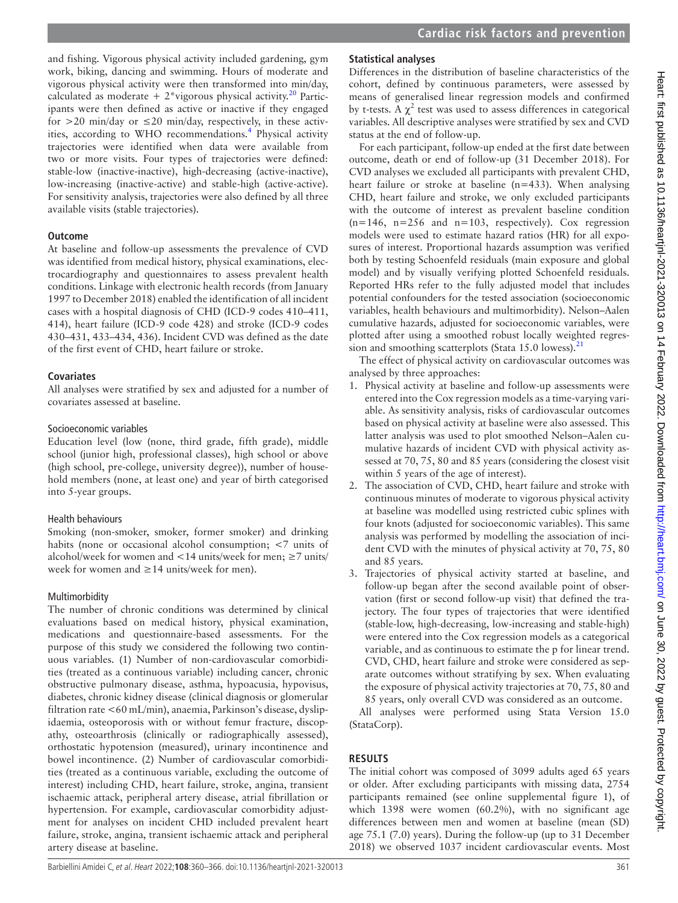and fishing. Vigorous physical activity included gardening, gym work, biking, dancing and swimming. Hours of moderate and vigorous physical activity were then transformed into min/day, calculated as moderate  $+ 2$ \*vigorous physical activity.<sup>20</sup> Participants were then defined as active or inactive if they engaged for  $>$  20 min/day or  $\leq$  20 min/day, respectively, in these activ-ities, according to WHO recommendations.<sup>[4](#page-6-1)</sup> Physical activity trajectories were identified when data were available from two or more visits. Four types of trajectories were defined: stable-low (inactive-inactive), high-decreasing (active-inactive), low-increasing (inactive-active) and stable-high (active-active). For sensitivity analysis, trajectories were also defined by all three available visits (stable trajectories).

## **Outcome**

At baseline and follow-up assessments the prevalence of CVD was identified from medical history, physical examinations, electrocardiography and questionnaires to assess prevalent health conditions. Linkage with electronic health records (from January 1997 to December 2018) enabled the identification of all incident cases with a hospital diagnosis of CHD (ICD-9 codes 410–411, 414), heart failure (ICD-9 code 428) and stroke (ICD-9 codes 430–431, 433–434, 436). Incident CVD was defined as the date of the first event of CHD, heart failure or stroke.

#### **Covariates**

All analyses were stratified by sex and adjusted for a number of covariates assessed at baseline.

#### Socioeconomic variables

Education level (low (none, third grade, fifth grade), middle school (junior high, professional classes), high school or above (high school, pre-college, university degree)), number of household members (none, at least one) and year of birth categorised into 5-year groups.

### Health behaviours

Smoking (non-smoker, smoker, former smoker) and drinking habits (none or occasional alcohol consumption; <7 units of alcohol/week for women and <14 units/week for men;  $\geq$ 7 units/ week for women and ≥14 units/week for men).

### Multimorbidity

The number of chronic conditions was determined by clinical evaluations based on medical history, physical examination, medications and questionnaire-based assessments. For the purpose of this study we considered the following two continuous variables. (1) Number of non-cardiovascular comorbidities (treated as a continuous variable) including cancer, chronic obstructive pulmonary disease, asthma, hypoacusia, hypovisus, diabetes, chronic kidney disease (clinical diagnosis or glomerular filtration rate <60 mL/min), anaemia, Parkinson's disease, dyslipidaemia, osteoporosis with or without femur fracture, discopathy, osteoarthrosis (clinically or radiographically assessed), orthostatic hypotension (measured), urinary incontinence and bowel incontinence. (2) Number of cardiovascular comorbidities (treated as a continuous variable, excluding the outcome of interest) including CHD, heart failure, stroke, angina, transient ischaemic attack, peripheral artery disease, atrial fibrillation or hypertension. For example, cardiovascular comorbidity adjustment for analyses on incident CHD included prevalent heart failure, stroke, angina, transient ischaemic attack and peripheral artery disease at baseline.

## **Statistical analyses**

Differences in the distribution of baseline characteristics of the cohort, defined by continuous parameters, were assessed by means of generalised linear regression models and confirmed by t-tests. A  $\chi^2$  test was used to assess differences in categorical variables. All descriptive analyses were stratified by sex and CVD status at the end of follow-up.

For each participant, follow-up ended at the first date between outcome, death or end of follow-up (31 December 2018). For CVD analyses we excluded all participants with prevalent CHD, heart failure or stroke at baseline (n=433). When analysing CHD, heart failure and stroke, we only excluded participants with the outcome of interest as prevalent baseline condition  $(n=146, n=256$  and  $n=103$ , respectively). Cox regression models were used to estimate hazard ratios (HR) for all exposures of interest. Proportional hazards assumption was verified both by testing Schoenfeld residuals (main exposure and global model) and by visually verifying plotted Schoenfeld residuals. Reported HRs refer to the fully adjusted model that includes potential confounders for the tested association (socioeconomic variables, health behaviours and multimorbidity). Nelson–Aalen cumulative hazards, adjusted for socioeconomic variables, were plotted after using a smoothed robust locally weighted regression and smoothing scatterplots (Stata 15.0 lowess). $^{21}$  $^{21}$  $^{21}$ 

The effect of physical activity on cardiovascular outcomes was analysed by three approaches:

- 1. Physical activity at baseline and follow-up assessments were entered into the Cox regression models as a time-varying variable. As sensitivity analysis, risks of cardiovascular outcomes based on physical activity at baseline were also assessed. This latter analysis was used to plot smoothed Nelson–Aalen cumulative hazards of incident CVD with physical activity assessed at 70, 75, 80 and 85 years (considering the closest visit within 5 years of the age of interest).
- 2. The association of CVD, CHD, heart failure and stroke with continuous minutes of moderate to vigorous physical activity at baseline was modelled using restricted cubic splines with four knots (adjusted for socioeconomic variables). This same analysis was performed by modelling the association of incident CVD with the minutes of physical activity at 70, 75, 80 and 85 years.
- 3. Trajectories of physical activity started at baseline, and follow-up began after the second available point of observation (first or second follow-up visit) that defined the trajectory. The four types of trajectories that were identified (stable-low, high-decreasing, low-increasing and stable-high) were entered into the Cox regression models as a categorical variable, and as continuous to estimate the p for linear trend. CVD, CHD, heart failure and stroke were considered as separate outcomes without stratifying by sex. When evaluating the exposure of physical activity trajectories at 70, 75, 80 and 85 years, only overall CVD was considered as an outcome.

All analyses were performed using Stata Version 15.0 (StataCorp).

## **RESULTS**

The initial cohort was composed of 3099 adults aged 65 years or older. After excluding participants with missing data, 2754 participants remained (see [online supplemental figure 1\)](https://dx.doi.org/10.1136/heartjnl-2021-320013), of which 1398 were women (60.2%), with no significant age differences between men and women at baseline (mean (SD) age 75.1 (7.0) years). During the follow-up (up to 31 December 2018) we observed 1037 incident cardiovascular events. Most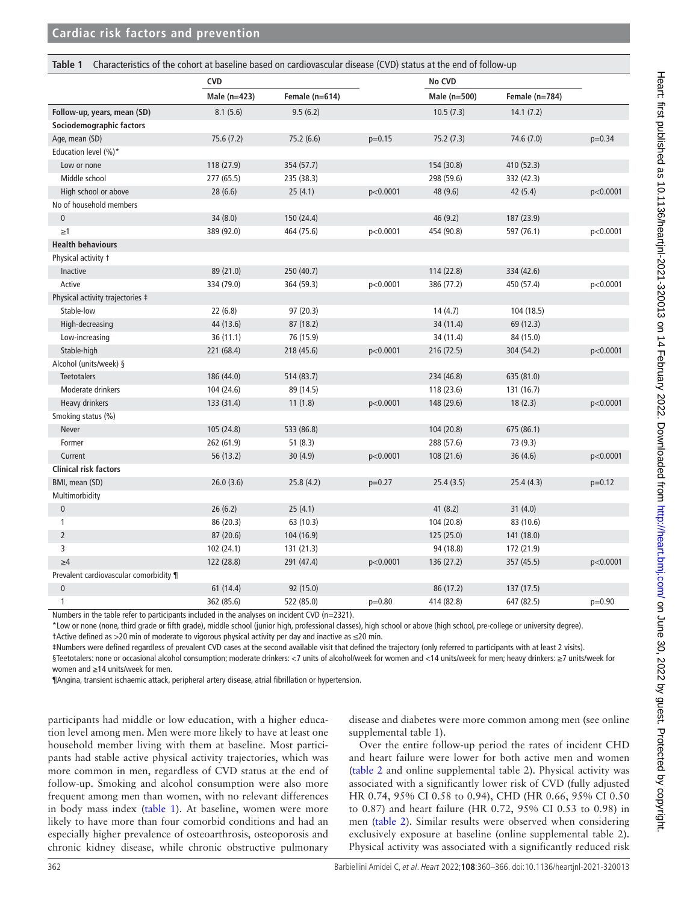<span id="page-2-0"></span>

| Characteristics of the cohort at baseline based on cardiovascular disease (CVD) status at the end of follow-up<br>Table 1 |                      |                |          |              |                |          |
|---------------------------------------------------------------------------------------------------------------------------|----------------------|----------------|----------|--------------|----------------|----------|
|                                                                                                                           | <b>CVD</b><br>No CVD |                |          |              |                |          |
|                                                                                                                           | Male (n=423)         | Female (n=614) |          | Male (n=500) | Female (n=784) |          |
| Follow-up, years, mean (SD)                                                                                               | 8.1(5.6)             | 9.5(6.2)       |          | 10.5(7.3)    | 14.1(7.2)      |          |
| Sociodemographic factors                                                                                                  |                      |                |          |              |                |          |
| Age, mean (SD)                                                                                                            | 75.6(7.2)            | 75.2 (6.6)     | $p=0.15$ | 75.2(7.3)    | 74.6 (7.0)     | $p=0.34$ |
| Education level (%)*                                                                                                      |                      |                |          |              |                |          |
| Low or none                                                                                                               | 118 (27.9)           | 354 (57.7)     |          | 154 (30.8)   | 410 (52.3)     |          |
| Middle school                                                                                                             | 277 (65.5)           | 235 (38.3)     |          | 298 (59.6)   | 332 (42.3)     |          |
| High school or above                                                                                                      | 28(6.6)              | 25(4.1)        | p<0.0001 | 48 (9.6)     | 42(5.4)        | p<0.0001 |
| No of household members                                                                                                   |                      |                |          |              |                |          |
| $\pmb{0}$                                                                                                                 | 34 (8.0)             | 150 (24.4)     |          | 46 (9.2)     | 187 (23.9)     |          |
| $\geq$ 1                                                                                                                  | 389 (92.0)           | 464 (75.6)     | p<0.0001 | 454 (90.8)   | 597 (76.1)     | p<0.0001 |
| <b>Health behaviours</b>                                                                                                  |                      |                |          |              |                |          |
| Physical activity t                                                                                                       |                      |                |          |              |                |          |
| Inactive                                                                                                                  | 89 (21.0)            | 250 (40.7)     |          | 114 (22.8)   | 334 (42.6)     |          |
| Active                                                                                                                    | 334 (79.0)           | 364 (59.3)     | p<0.0001 | 386 (77.2)   | 450 (57.4)     | p<0.0001 |
| Physical activity trajectories ‡                                                                                          |                      |                |          |              |                |          |
| Stable-low                                                                                                                | 22(6.8)              | 97 (20.3)      |          | 14(4.7)      | 104 (18.5)     |          |
| High-decreasing                                                                                                           | 44 (13.6)            | 87 (18.2)      |          | 34 (11.4)    | 69 (12.3)      |          |
| Low-increasing                                                                                                            | 36 (11.1)            | 76 (15.9)      |          | 34 (11.4)    | 84 (15.0)      |          |
| Stable-high                                                                                                               | 221 (68.4)           | 218 (45.6)     | p<0.0001 | 216 (72.5)   | 304 (54.2)     | p<0.0001 |
| Alcohol (units/week) §                                                                                                    |                      |                |          |              |                |          |
| <b>Teetotalers</b>                                                                                                        | 186 (44.0)           | 514 (83.7)     |          | 234 (46.8)   | 635 (81.0)     |          |
| Moderate drinkers                                                                                                         | 104 (24.6)           | 89 (14.5)      |          | 118 (23.6)   | 131 (16.7)     |          |
| Heavy drinkers                                                                                                            | 133 (31.4)           | 11(1.8)        | p<0.0001 | 148 (29.6)   | 18(2.3)        | p<0.0001 |
| Smoking status (%)                                                                                                        |                      |                |          |              |                |          |
| Never                                                                                                                     | 105 (24.8)           | 533 (86.8)     |          | 104 (20.8)   | 675 (86.1)     |          |
| Former                                                                                                                    | 262 (61.9)           | 51(8.3)        |          | 288 (57.6)   | 73 (9.3)       |          |
| Current                                                                                                                   | 56 (13.2)            | 30(4.9)        | p<0.0001 | 108 (21.6)   | 36(4.6)        | p<0.0001 |
| <b>Clinical risk factors</b>                                                                                              |                      |                |          |              |                |          |
| BMI, mean (SD)                                                                                                            | 26.0(3.6)            | 25.8(4.2)      | $p=0.27$ | 25.4(3.5)    | 25.4(4.3)      | $p=0.12$ |
| Multimorbidity                                                                                                            |                      |                |          |              |                |          |
| $\pmb{0}$                                                                                                                 | 26(6.2)              | 25(4.1)        |          | 41(8.2)      | 31(4.0)        |          |
| 1                                                                                                                         | 86 (20.3)            | 63 (10.3)      |          | 104 (20.8)   | 83 (10.6)      |          |
| $\overline{2}$                                                                                                            | 87 (20.6)            | 104 (16.9)     |          | 125 (25.0)   | 141 (18.0)     |          |
| 3                                                                                                                         | 102 (24.1)           | 131 (21.3)     |          | 94 (18.8)    | 172 (21.9)     |          |
| $\geq 4$                                                                                                                  | 122 (28.8)           | 291 (47.4)     | p<0.0001 | 136 (27.2)   | 357 (45.5)     | p<0.0001 |
| Prevalent cardiovascular comorbidity ¶                                                                                    |                      |                |          |              |                |          |
| $\pmb{0}$                                                                                                                 | 61 (14.4)            | 92 (15.0)      |          | 86 (17.2)    | 137 (17.5)     |          |
| 1                                                                                                                         | 362 (85.6)           | 522 (85.0)     | $p=0.80$ | 414 (82.8)   | 647 (82.5)     | $p=0.90$ |

Numbers in the table refer to participants included in the analyses on incident CVD (n=2321).

\*Low or none (none, third grade or fifth grade), middle school (junior high, professional classes), high school or above (high school, pre-college or university degree). †Active defined as >20 min of moderate to vigorous physical activity per day and inactive as ≤20 min.

‡Numbers were defined regardless of prevalent CVD cases at the second available visit that defined the trajectory (only referred to participants with at least 2 visits). §Teetotalers: none or occasional alcohol consumption; moderate drinkers: <7 units of alcohol/week for women and <14 units/week for men; heavy drinkers: ≥7 units/week for women and ≥14 units/week for men.

¶Angina, transient ischaemic attack, peripheral artery disease, atrial fibrillation or hypertension.

participants had middle or low education, with a higher education level among men. Men were more likely to have at least one household member living with them at baseline. Most participants had stable active physical activity trajectories, which was more common in men, regardless of CVD status at the end of follow-up. Smoking and alcohol consumption were also more frequent among men than women, with no relevant differences in body mass index [\(table](#page-2-0) 1). At baseline, women were more likely to have more than four comorbid conditions and had an especially higher prevalence of osteoarthrosis, osteoporosis and chronic kidney disease, while chronic obstructive pulmonary

disease and diabetes were more common among men (see [online](https://dx.doi.org/10.1136/heartjnl-2021-320013) [supplemental table 1](https://dx.doi.org/10.1136/heartjnl-2021-320013)).

Over the entire follow-up period the rates of incident CHD and heart failure were lower for both active men and women ([table](#page-3-0) 2 and [online supplemental table 2](https://dx.doi.org/10.1136/heartjnl-2021-320013)). Physical activity was associated with a significantly lower risk of CVD (fully adjusted HR 0.74, 95% CI 0.58 to 0.94), CHD (HR 0.66, 95% CI 0.50 to 0.87) and heart failure (HR 0.72, 95% CI 0.53 to 0.98) in men ([table](#page-3-0) 2). Similar results were observed when considering exclusively exposure at baseline [\(online supplemental table 2\)](https://dx.doi.org/10.1136/heartjnl-2021-320013). Physical activity was associated with a significantly reduced risk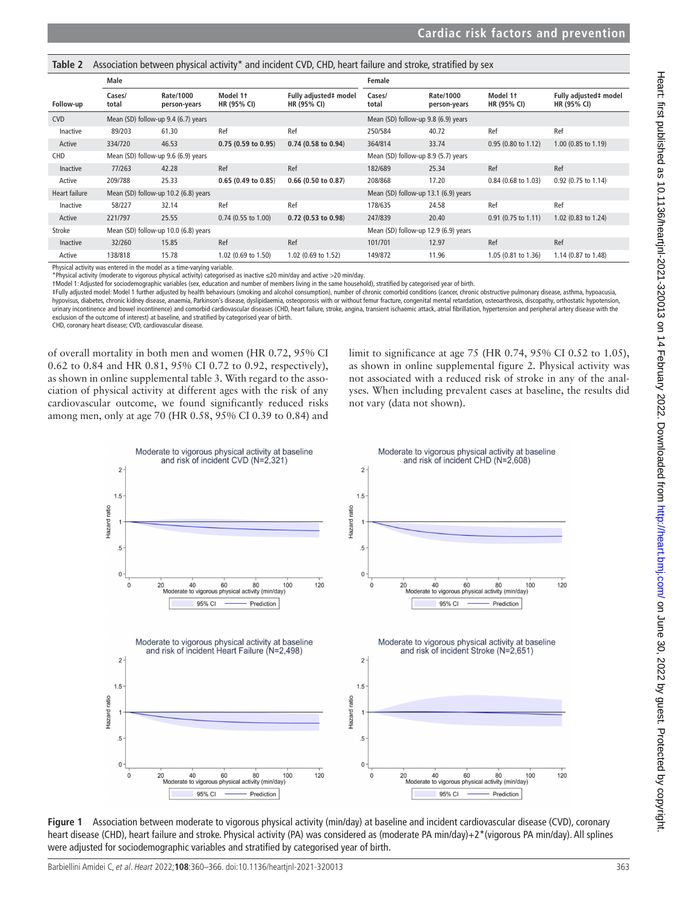<span id="page-3-0"></span>Table 2 Association between physical activity<sup>\*</sup> and incident CVD, CHD, heart failure and stroke, stratified by sex

|               | Male                                 |                           |                         | Female                               |                                     |                           |                         |                                             |  |
|---------------|--------------------------------------|---------------------------|-------------------------|--------------------------------------|-------------------------------------|---------------------------|-------------------------|---------------------------------------------|--|
| Follow-up     | Cases/<br>total                      | Rate/1000<br>person-years | Model 1+<br>HR (95% CI) | Fully adjusted# model<br>HR (95% CI) | Cases/<br>total                     | Rate/1000<br>person-years | Model 1+<br>HR (95% CI) | Fully adjusted‡ model<br><b>HR (95% CI)</b> |  |
| <b>CVD</b>    | Mean (SD) follow-up 9.4 (6.7) years  |                           |                         |                                      | Mean (SD) follow-up 9.8 (6.9) years |                           |                         |                                             |  |
| Inactive      | 89/203                               | 61.30                     | Ref                     | Ref                                  | 250/584                             | 40.72                     | Ref                     | Ref                                         |  |
| Active        | 334/720                              | 46.53                     | 0.75(0.59 to 0.95)      | $0.74$ (0.58 to 0.94)                | 364/814                             | 33.74                     | 0.95 (0.80 to 1.12)     | 1.00 (0.85 to 1.19)                         |  |
| CHD           | Mean (SD) follow-up 9.6 (6.9) years  |                           |                         | Mean (SD) follow-up 8.9 (5.7) years  |                                     |                           |                         |                                             |  |
| Inactive      | 77/263                               | 42.28                     | Ref                     | Ref                                  | 182/689                             | 25.34                     | Ref                     | Ref                                         |  |
| Active        | 209/788                              | 25.33                     | $0.65$ (0.49 to 0.85)   | $0.66$ (0.50 to 0.87)                | 208/868                             | 17.20                     | 0.84 (0.68 to 1.03)     | 0.92 (0.75 to 1.14)                         |  |
| Heart failure | Mean (SD) follow-up 10.2 (6.8) years |                           |                         | Mean (SD) follow-up 13.1 (6.9) years |                                     |                           |                         |                                             |  |
| Inactive      | 58/227                               | 32.14                     | Ref                     | Ref                                  | 178/635                             | 24.58                     | Ref                     | Ref                                         |  |
| Active        | 221/797                              | 25.55                     | $0.74$ (0.55 to 1.00)   | $0.72$ (0.53 to 0.98)                | 247/839                             | 20.40                     | $0.91$ (0.75 to 1.11)   | 1.02 (0.83 to 1.24)                         |  |
| Stroke        | Mean (SD) follow-up 10.0 (6.8) years |                           |                         | Mean (SD) follow-up 12.9 (6.9) years |                                     |                           |                         |                                             |  |
| Inactive      | 32/260                               | 15.85                     | Ref                     | Ref                                  | 101/701                             | 12.97                     | Ref                     | Ref                                         |  |
| Active        | 138/818                              | 15.78                     | 1.02 (0.69 to 1.50)     | 1.02 (0.69 to 1.52)                  | 149/872                             | 11.96                     | 1.05 (0.81 to 1.36)     | 1.14 (0.87 to 1.48)                         |  |

Physical activity was entered in the model as a time-varying variable.

\*Physical activity (moderate to vigorous physical activity) categorised as inactive ≤20 min/day and active >20 min/day.

†Model 1: Adjusted for sociodemographic variables (sex, education and number of members living in the same household), stratified by categorised year of birth.

‡Fully adjusted model: Model 1 further adjusted by health behaviours (smoking and alcohol consumption), number of chronic comorbid conditions (cancer, chronic obstructive pulmonary disease, asthma, hypoacusia, hypovisus, diabetes, chronic kidney disease, anaemia, Parkinson's disease, dyslipidaemia, osteoporosis with or without femur fracture, congenital mental retardation, osteoarthrosis, discopathy, orthostatic hypotension, urinary incontinence and bowel incontinence) and comorbid cardiovascular diseases (CHD, heart failure, stroke, angina, transient ischaemic attack, atrial fibrillation, hypertension and peripheral artery disease with the exclusion of the outcome of interest) at baseline, and stratified by categorised year of birth.

CHD, coronary heart disease; CVD, cardiovascular disease.

of overall mortality in both men and women (HR 0.72, 95% CI 0.62 to 0.84 and HR 0.81, 95% CI 0.72 to 0.92, respectively), as shown in [online supplemental table 3](https://dx.doi.org/10.1136/heartjnl-2021-320013). With regard to the association of physical activity at different ages with the risk of any cardiovascular outcome, we found significantly reduced risks among men, only at age 70 (HR 0.58, 95% CI 0.39 to 0.84) and limit to significance at age 75 (HR 0.74, 95% CI 0.52 to 1.05), as shown in [online supplemental figure 2](https://dx.doi.org/10.1136/heartjnl-2021-320013). Physical activity was not associated with a reduced risk of stroke in any of the analyses. When including prevalent cases at baseline, the results did not vary (data not shown).



<span id="page-3-1"></span>**Figure 1** Association between moderate to vigorous physical activity (min/day) at baseline and incident cardiovascular disease (CVD), coronary heart disease (CHD), heart failure and stroke. Physical activity (PA) was considered as (moderate PA min/day)+2\*(vigorous PA min/day). All splines were adjusted for sociodemographic variables and stratified by categorised year of birth.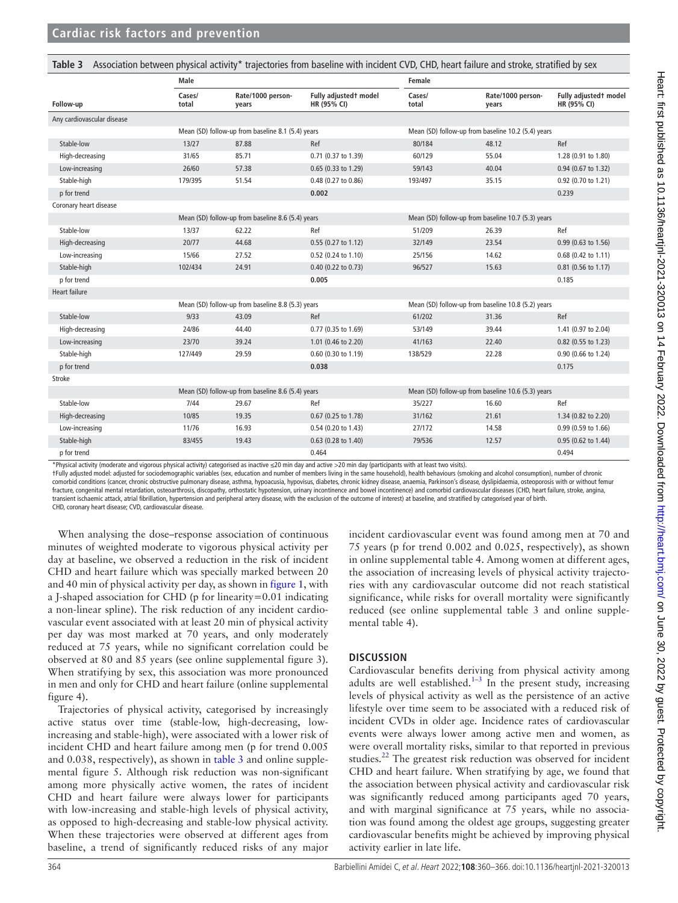|                            | Male                                              |                                                   |                                      | Female                                             |                                                    |                                      |  |
|----------------------------|---------------------------------------------------|---------------------------------------------------|--------------------------------------|----------------------------------------------------|----------------------------------------------------|--------------------------------------|--|
| Follow-up                  | Cases/<br>total                                   | Rate/1000 person-<br>years                        | Fully adjustedt model<br>HR (95% CI) | Cases/<br>total                                    | Rate/1000 person-<br>years                         | Fully adjustedt model<br>HR (95% CI) |  |
| Any cardiovascular disease |                                                   |                                                   |                                      |                                                    |                                                    |                                      |  |
|                            |                                                   | Mean (SD) follow-up from baseline 8.1 (5.4) years |                                      |                                                    | Mean (SD) follow-up from baseline 10.2 (5.4) years |                                      |  |
| Stable-low                 | 13/27                                             | 87.88                                             | Ref                                  | 80/184                                             | 48.12                                              | Ref                                  |  |
| High-decreasing            | 31/65                                             | 85.71                                             | 0.71 (0.37 to 1.39)                  | 60/129                                             | 55.04                                              | 1.28 (0.91 to 1.80)                  |  |
| Low-increasing             | 26/60                                             | 57.38                                             | 0.65 (0.33 to 1.29)                  | 59/143                                             | 40.04                                              | 0.94 (0.67 to 1.32)                  |  |
| Stable-high                | 179/395                                           | 51.54                                             | 0.48 (0.27 to 0.86)                  | 193/497                                            | 35.15                                              | 0.92 (0.70 to 1.21)                  |  |
| p for trend                |                                                   |                                                   | 0.002                                |                                                    |                                                    | 0.239                                |  |
| Coronary heart disease     |                                                   |                                                   |                                      |                                                    |                                                    |                                      |  |
|                            | Mean (SD) follow-up from baseline 8.6 (5.4) years |                                                   |                                      | Mean (SD) follow-up from baseline 10.7 (5.3) years |                                                    |                                      |  |
| Stable-low                 | 13/37                                             | 62.22                                             | Ref                                  | 51/209                                             | 26.39                                              | Ref                                  |  |
| High-decreasing            | 20/77                                             | 44.68                                             | 0.55 (0.27 to 1.12)                  | 32/149                                             | 23.54                                              | 0.99 (0.63 to 1.56)                  |  |
| Low-increasing             | 15/66                                             | 27.52                                             | 0.52 (0.24 to 1.10)                  | 25/156                                             | 14.62                                              | 0.68 (0.42 to 1.11)                  |  |
| Stable-high                | 102/434                                           | 24.91                                             | 0.40 (0.22 to 0.73)                  | 96/527                                             | 15.63                                              | 0.81 (0.56 to 1.17)                  |  |
| p for trend                |                                                   |                                                   | 0.005                                |                                                    |                                                    | 0.185                                |  |
| <b>Heart failure</b>       |                                                   |                                                   |                                      |                                                    |                                                    |                                      |  |
|                            | Mean (SD) follow-up from baseline 8.8 (5.3) years |                                                   |                                      | Mean (SD) follow-up from baseline 10.8 (5.2) years |                                                    |                                      |  |
| Stable-low                 | 9/33                                              | 43.09                                             | Ref                                  | 61/202                                             | 31.36                                              | Ref                                  |  |
| High-decreasing            | 24/86                                             | 44.40                                             | 0.77 (0.35 to 1.69)                  | 53/149                                             | 39.44                                              | 1.41 (0.97 to 2.04)                  |  |
| Low-increasing             | 23/70                                             | 39.24                                             | 1.01 (0.46 to 2.20)                  | 41/163                                             | 22.40                                              | 0.82 (0.55 to 1.23)                  |  |
| Stable-high                | 127/449                                           | 29.59                                             | 0.60 (0.30 to 1.19)                  | 138/529                                            | 22.28                                              | 0.90 (0.66 to 1.24)                  |  |
| p for trend                |                                                   |                                                   | 0.038                                |                                                    |                                                    | 0.175                                |  |
| Stroke                     |                                                   |                                                   |                                      |                                                    |                                                    |                                      |  |
|                            | Mean (SD) follow-up from baseline 8.6 (5.4) years |                                                   |                                      | Mean (SD) follow-up from baseline 10.6 (5.3) years |                                                    |                                      |  |
| Stable-low                 | 7/44                                              | 29.67                                             | Ref                                  | 35/227                                             | 16.60                                              | Ref                                  |  |
| High-decreasing            | 10/85                                             | 19.35                                             | 0.67 (0.25 to 1.78)                  | 31/162                                             | 21.61                                              | 1.34 (0.82 to 2.20)                  |  |
| Low-increasing             | 11/76                                             | 16.93                                             | 0.54 (0.20 to 1.43)                  | 27/172                                             | 14.58                                              | 0.99 (0.59 to 1.66)                  |  |
| Stable-high                | 83/455                                            | 19.43                                             | 0.63 (0.28 to 1.40)                  | 79/536                                             | 12.57                                              | 0.95 (0.62 to 1.44)                  |  |
| p for trend                |                                                   |                                                   | 0.464                                |                                                    |                                                    | 0.494                                |  |

<span id="page-4-0"></span>Table 3 Association between physical activity\* trajectories from baseline with incident CVD, CHD, heart failure and stroke, stratified by sex

\*Physical activity (moderate and vigorous physical activity) categorised as inactive ≤20 min day and active >20 min day (participants with at least two visits).

†Fully adjusted model: adjusted for sociodemographic variables (sex, education and number of members living in the same household), health behaviours (smoking and alcohol consumption), number of chronic comorbid conditions (cancer, chronic obstructive pulmonary disease, asthma, hypoacusia, hypovisus, diabetes, chronic kidney disease, anaemia, Parkinson's disease, dyslipidaemia, osteoporosis with or without femu fracture, congenital mental retardation, osteoarthrosis, discopathy, orthostatic hypotension, urinary incontinence and bowel incontinence) and comorbid cardiovascular diseases (CHD, heart failure, stroke, angina, transient ischaemic attack, atrial fibrillation, hypertension and peripheral artery disease, with the exclusion of the outcome of interest) at baseline, and stratified by categorised year of birth. CHD, coronary heart disease; CVD, cardiovascular disease.

When analysing the dose–response association of continuous minutes of weighted moderate to vigorous physical activity per day at baseline, we observed a reduction in the risk of incident CHD and heart failure which was specially marked between 20 and 40 min of physical activity per day, as shown in [figure](#page-3-1) 1, with a J-shaped association for CHD (p for linearity=0.01 indicating a non-linear spline). The risk reduction of any incident cardiovascular event associated with at least 20 min of physical activity per day was most marked at 70 years, and only moderately reduced at 75 years, while no significant correlation could be observed at 80 and 85 years (see [online supplemental figure 3](https://dx.doi.org/10.1136/heartjnl-2021-320013)). When stratifying by sex, this association was more pronounced in men and only for CHD and heart failure [\(online supplemental](https://dx.doi.org/10.1136/heartjnl-2021-320013)  [figure 4](https://dx.doi.org/10.1136/heartjnl-2021-320013)).

Trajectories of physical activity, categorised by increasingly active status over time (stable-low, high-decreasing, lowincreasing and stable-high), were associated with a lower risk of incident CHD and heart failure among men (p for trend 0.005 and 0.038, respectively), as shown in [table](#page-4-0) 3 and [online supple](https://dx.doi.org/10.1136/heartjnl-2021-320013)[mental figure 5.](https://dx.doi.org/10.1136/heartjnl-2021-320013) Although risk reduction was non-significant among more physically active women, the rates of incident CHD and heart failure were always lower for participants with low-increasing and stable-high levels of physical activity, as opposed to high-decreasing and stable-low physical activity. When these trajectories were observed at different ages from baseline, a trend of significantly reduced risks of any major

incident cardiovascular event was found among men at 70 and 75 years (p for trend 0.002 and 0.025, respectively), as shown in [online supplemental table 4](https://dx.doi.org/10.1136/heartjnl-2021-320013). Among women at different ages, the association of increasing levels of physical activity trajectories with any cardiovascular outcome did not reach statistical significance, while risks for overall mortality were significantly reduced (see [online supplemental table 3](https://dx.doi.org/10.1136/heartjnl-2021-320013) and [online supple](https://dx.doi.org/10.1136/heartjnl-2021-320013)[mental table 4](https://dx.doi.org/10.1136/heartjnl-2021-320013)).

### **DISCUSSION**

Cardiovascular benefits deriving from physical activity among adults are well established.<sup>1–3</sup> In the present study, increasing levels of physical activity as well as the persistence of an active lifestyle over time seem to be associated with a reduced risk of incident CVDs in older age. Incidence rates of cardiovascular events were always lower among active men and women, as were overall mortality risks, similar to that reported in previous studies. $^{22}$  The greatest risk reduction was observed for incident CHD and heart failure. When stratifying by age, we found that the association between physical activity and cardiovascular risk was significantly reduced among participants aged 70 years, and with marginal significance at 75 years, while no association was found among the oldest age groups, suggesting greater cardiovascular benefits might be achieved by improving physical activity earlier in late life.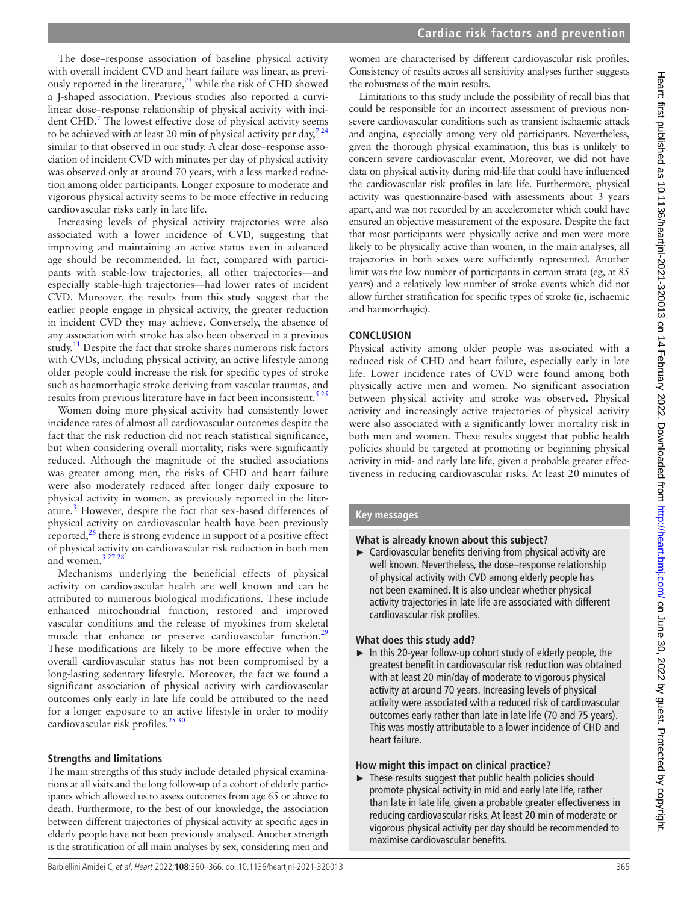The dose–response association of baseline physical activity with overall incident CVD and heart failure was linear, as previously reported in the literature,<sup>23</sup> while the risk of CHD showed a J-shaped association. Previous studies also reported a curvilinear dose–response relationship of physical activity with inci-dent CHD.<sup>[7](#page-6-3)</sup> The lowest effective dose of physical activity seems to be achieved with at least 20 min of physical activity per day,  $724$ similar to that observed in our study. A clear dose–response association of incident CVD with minutes per day of physical activity was observed only at around 70 years, with a less marked reduction among older participants. Longer exposure to moderate and vigorous physical activity seems to be more effective in reducing cardiovascular risks early in late life.

Increasing levels of physical activity trajectories were also associated with a lower incidence of CVD, suggesting that improving and maintaining an active status even in advanced age should be recommended. In fact, compared with participants with stable-low trajectories, all other trajectories—and especially stable-high trajectories—had lower rates of incident CVD. Moreover, the results from this study suggest that the earlier people engage in physical activity, the greater reduction in incident CVD they may achieve. Conversely, the absence of any association with stroke has also been observed in a previous study.<sup>11</sup> Despite the fact that stroke shares numerous risk factors with CVDs, including physical activity, an active lifestyle among older people could increase the risk for specific types of stroke such as haemorrhagic stroke deriving from vascular traumas, and results from previous literature have in fact been inconsistent.<sup>525</sup>

Women doing more physical activity had consistently lower incidence rates of almost all cardiovascular outcomes despite the fact that the risk reduction did not reach statistical significance, but when considering overall mortality, risks were significantly reduced. Although the magnitude of the studied associations was greater among men, the risks of CHD and heart failure were also moderately reduced after longer daily exposure to physical activity in women, as previously reported in the literature.<sup>3</sup> However, despite the fact that sex-based differences of physical activity on cardiovascular health have been previously reported, $^{26}$  $^{26}$  $^{26}$  there is strong evidence in support of a positive effect of physical activity on cardiovascular risk reduction in both men and women. $32728$ 

Mechanisms underlying the beneficial effects of physical activity on cardiovascular health are well known and can be attributed to numerous biological modifications. These include enhanced mitochondrial function, restored and improved vascular conditions and the release of myokines from skeletal muscle that enhance or preserve cardiovascular function.<sup>[29](#page-6-18)</sup> These modifications are likely to be more effective when the overall cardiovascular status has not been compromised by a long-lasting sedentary lifestyle. Moreover, the fact we found a significant association of physical activity with cardiovascular outcomes only early in late life could be attributed to the need for a longer exposure to an active lifestyle in order to modify cardiovascular risk profiles.<sup>[25 30](#page-6-19)</sup>

# **Strengths and limitations**

The main strengths of this study include detailed physical examinations at all visits and the long follow-up of a cohort of elderly participants which allowed us to assess outcomes from age 65 or above to death. Furthermore, to the best of our knowledge, the association between different trajectories of physical activity at specific ages in elderly people have not been previously analysed. Another strength is the stratification of all main analyses by sex, considering men and women are characterised by different cardiovascular risk profiles. Consistency of results across all sensitivity analyses further suggests the robustness of the main results.

Limitations to this study include the possibility of recall bias that could be responsible for an incorrect assessment of previous nonsevere cardiovascular conditions such as transient ischaemic attack and angina, especially among very old participants. Nevertheless, given the thorough physical examination, this bias is unlikely to concern severe cardiovascular event. Moreover, we did not have data on physical activity during mid-life that could have influenced the cardiovascular risk profiles in late life. Furthermore, physical activity was questionnaire-based with assessments about 3 years apart, and was not recorded by an accelerometer which could have ensured an objective measurement of the exposure. Despite the fact that most participants were physically active and men were more likely to be physically active than women, in the main analyses, all trajectories in both sexes were sufficiently represented. Another limit was the low number of participants in certain strata (eg, at 85 years) and a relatively low number of stroke events which did not allow further stratification for specific types of stroke (ie, ischaemic and haemorrhagic).

## **CONCLUSION**

Physical activity among older people was associated with a reduced risk of CHD and heart failure, especially early in late life. Lower incidence rates of CVD were found among both physically active men and women. No significant association between physical activity and stroke was observed. Physical activity and increasingly active trajectories of physical activity were also associated with a significantly lower mortality risk in both men and women. These results suggest that public health policies should be targeted at promoting or beginning physical activity in mid- and early late life, given a probable greater effectiveness in reducing cardiovascular risks. At least 20 minutes of

## **Key messages**

## **What is already known about this subject?**

 $\blacktriangleright$  Cardiovascular benefits deriving from physical activity are well known. Nevertheless, the dose–response relationship of physical activity with CVD among elderly people has not been examined. It is also unclear whether physical activity trajectories in late life are associated with different cardiovascular risk profiles.

## **What does this study add?**

► In this 20-year follow-up cohort study of elderly people, the greatest benefit in cardiovascular risk reduction was obtained with at least 20 min/day of moderate to vigorous physical activity at around 70 years. Increasing levels of physical activity were associated with a reduced risk of cardiovascular outcomes early rather than late in late life (70 and 75 years). This was mostly attributable to a lower incidence of CHD and heart failure.

## **How might this impact on clinical practice?**

► These results suggest that public health policies should promote physical activity in mid and early late life, rather than late in late life, given a probable greater effectiveness in reducing cardiovascular risks. At least 20 min of moderate or vigorous physical activity per day should be recommended to maximise cardiovascular benefits.